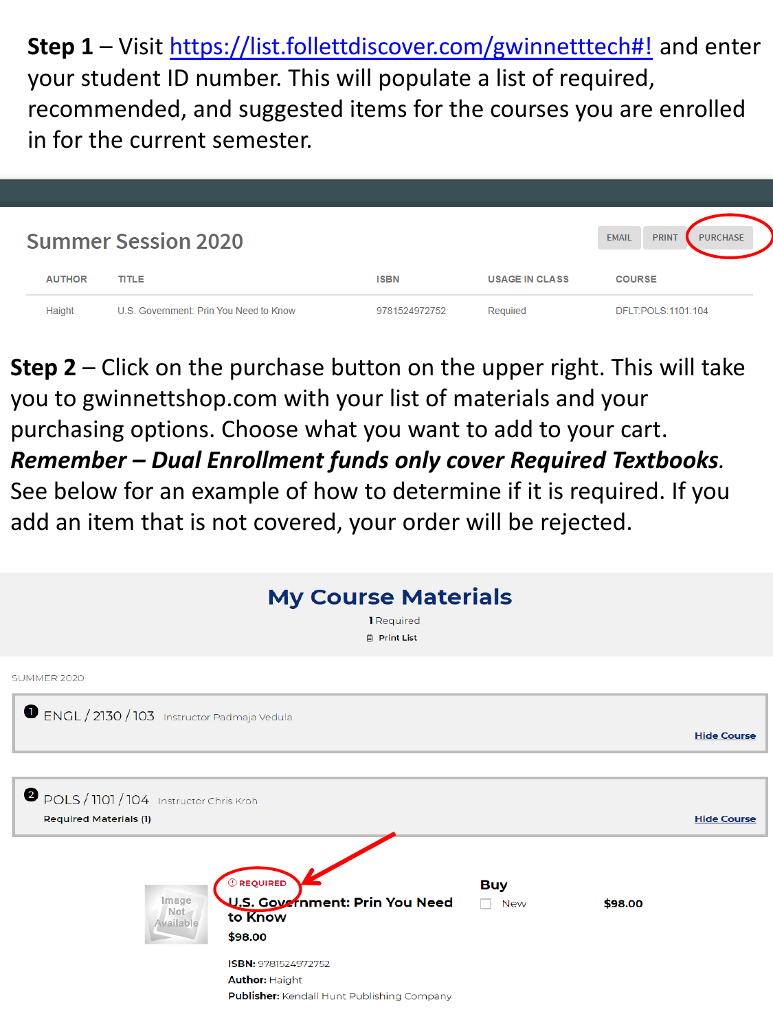**Step 1** – Visit [https://list.follettdiscover.com/gwinnetttech#!](https://list.follettdiscover.com/gwinnetttech) and enter your student ID number. This will populate a list of required, recommended, and suggested items for the courses you are enrolled in for the current semester.



**Step 2** – Click on the purchase button on the upper right. This will take you to [gwinnettshop.com](https://gwinnettshop.com) with your list of materials and your purchasing options. Choose what you want to add to your cart. *Remember – Dual Enrollment funds only cover Required Textbooks.* 

 add an item that is not covered, your order will be rejected. See below for an example of how to determine if it is required. If you

|                                                                                             | <b>My Course Materials</b><br>1 Required<br><b>日 Print List</b> |                                |         |                    |
|---------------------------------------------------------------------------------------------|-----------------------------------------------------------------|--------------------------------|---------|--------------------|
| SUMMER 2020                                                                                 |                                                                 |                                |         |                    |
| ENGL / 2130 / 103 Instructor Padmaja Vedula                                                 |                                                                 |                                |         | <b>Hide Course</b> |
| POLS / 1101 / 104 Instructor Chris Kroh<br><b>Required Materials (1)</b>                    |                                                                 |                                |         | <b>Hide Course</b> |
| <b>C</b> REQUIRED<br>Image<br>Not<br>to Know<br>Available<br>\$98.00<br>ISBN: 9781524972752 | U.S. Government: Prin You Need                                  | <b>Buy</b><br><b>New</b><br>n. | \$98.00 |                    |
| <b>Author: Haight</b>                                                                       | Publisher: Kendall Hunt Publishing Company                      |                                |         |                    |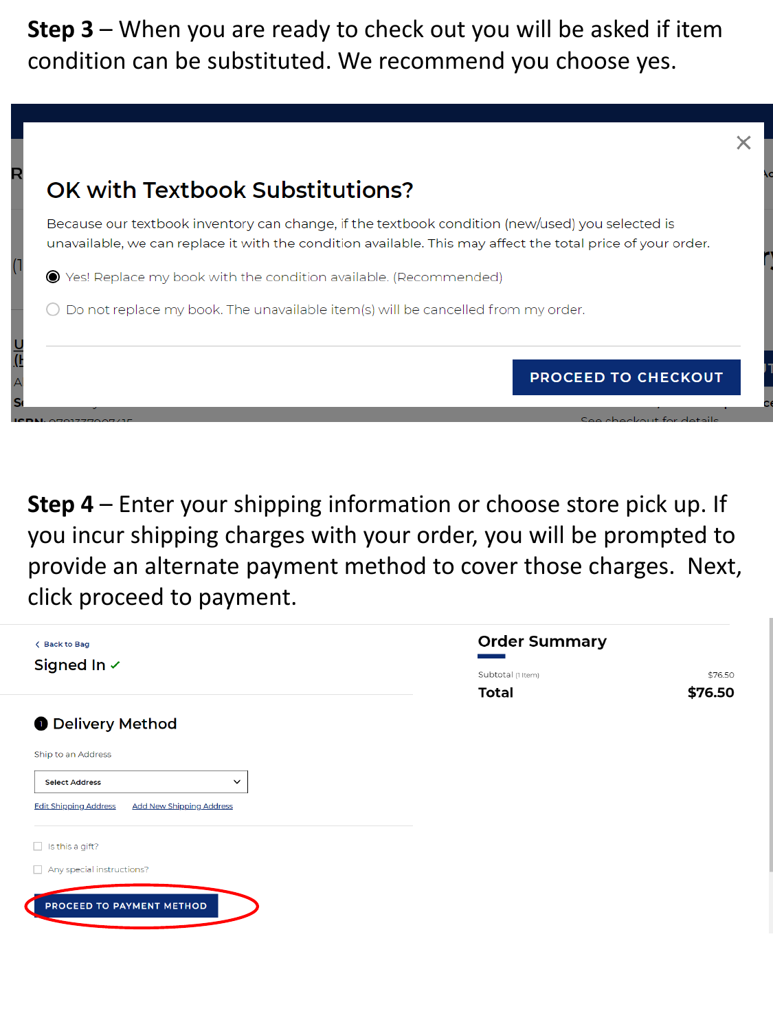**Step 3** – When you are ready to check out you will be asked if item condition can be substituted. We recommend you choose yes.

|                                                                    | Because our textbook inventory can change, if the textbook condition (new/used) you selected is             |  |
|--------------------------------------------------------------------|-------------------------------------------------------------------------------------------------------------|--|
|                                                                    | unavailable, we can replace it with the condition available. This may affect the total price of your order. |  |
| ● Yes! Replace my book with the condition available. (Recommended) |                                                                                                             |  |
|                                                                    | Do not replace my book. The unavailable item(s) will be cancelled from my order.                            |  |
|                                                                    | <b>PROCEED TO CHECKOUT</b>                                                                                  |  |

 you incur shipping charges with your order, you will be prompted to provide an alternate payment method to cover those charges. Next, **Step 4** – Enter your shipping information or choose store pick up. If click proceed to payment.

| <b>&lt; Back to Bag</b>                                         | <b>Order Summary</b> |         |
|-----------------------------------------------------------------|----------------------|---------|
| Signed In √                                                     | Subtotal (1 Item)    | \$76.50 |
|                                                                 | <b>Total</b>         | \$76.50 |
| <b>O</b> Delivery Method                                        |                      |         |
| Ship to an Address                                              |                      |         |
| $\checkmark$<br><b>Select Address</b>                           |                      |         |
| <b>Edit Shipping Address</b><br><b>Add New Shipping Address</b> |                      |         |
| Is this a gift?<br>$\Box$                                       |                      |         |
| Any special instructions?<br>$\mathbf{L}$                       |                      |         |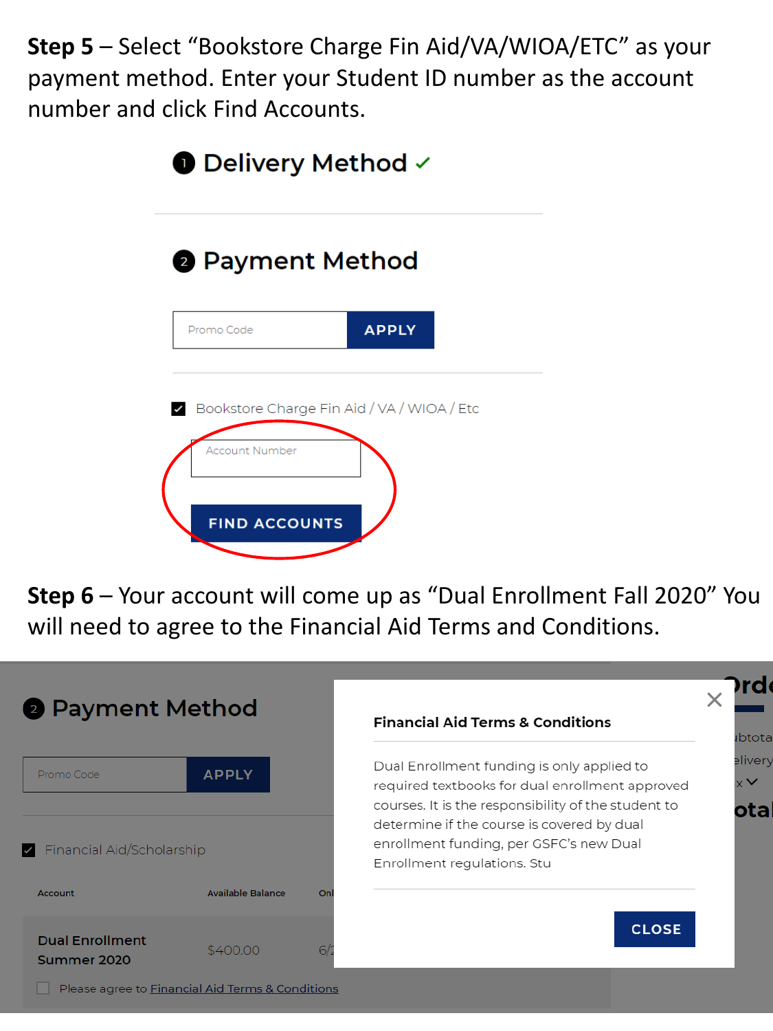**Step 5** – Select "Bookstore Charge Fin Aid/VA/WIOA/ETC" as your payment method. Enter your Student ID number as the account number and click Find Accounts.

| $\bullet$ Delivery Method $\checkmark$                                                      |              |  |
|---------------------------------------------------------------------------------------------|--------------|--|
| 2 Payment Method                                                                            |              |  |
| Promo Code                                                                                  | <b>APPLY</b> |  |
| Bookstore Charge Fin Aid / VA / WIOA / Etc<br><b>Account Number</b><br><b>FIND ACCOUNTS</b> |              |  |

 **Step 6** – Your account will come up as "Dual Enrollment Fall 2020" You will need to agree to the Financial Aid Terms and Conditions.

| <b>2</b> Payment Method                                       |                          |    | <b>Financial Aid Terms &amp; Conditions</b>                                                                                                                                                                                                                                  |
|---------------------------------------------------------------|--------------------------|----|------------------------------------------------------------------------------------------------------------------------------------------------------------------------------------------------------------------------------------------------------------------------------|
| Promo Code<br>$\blacktriangleright$ Financial Aid/Scholarship | <b>APPLY</b>             |    | Dual Enrollment funding is only applied to<br>required textbooks for dual enrollment approved<br>courses. It is the responsibility of the student to<br>determine if the course is covered by dual<br>enrollment funding, per GSFC's new Dual<br>Enrollment regulations. Stu |
| <b>Account</b>                                                | <b>Available Balance</b> | On |                                                                                                                                                                                                                                                                              |
| <b>Dual Enrollment</b><br>Summer 2020                         | \$400.00                 | 6/ | <b>CLOSE</b>                                                                                                                                                                                                                                                                 |